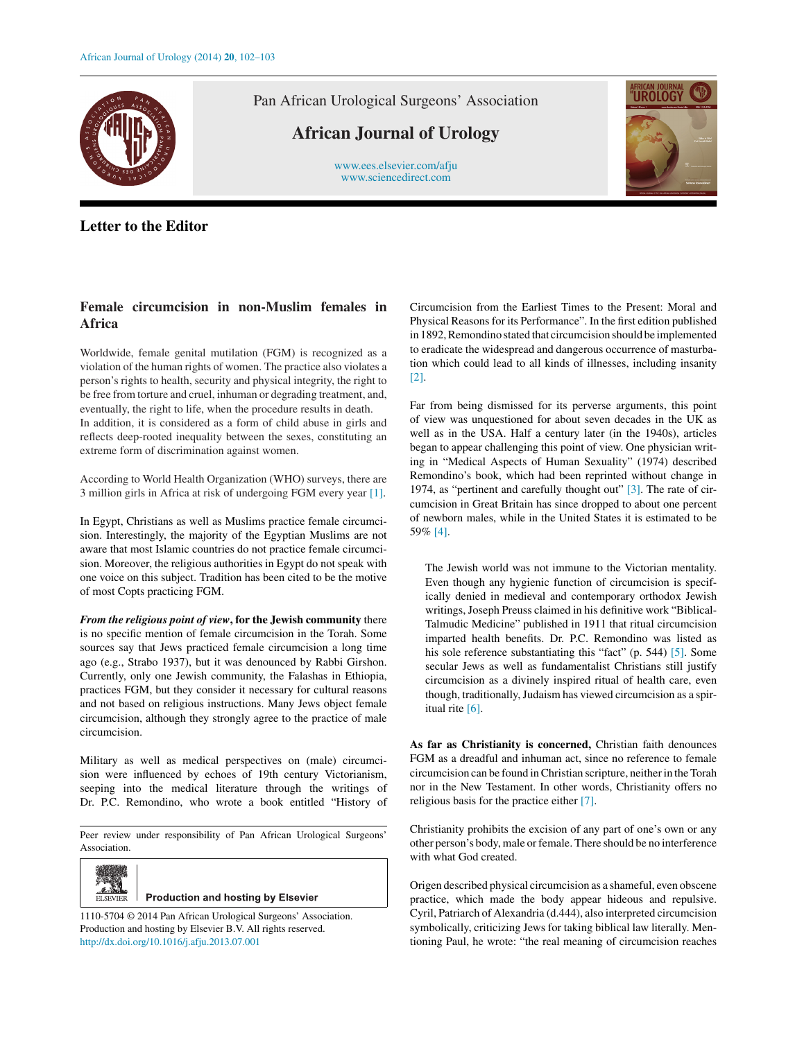

Pan African Urological Surgeons' Association

**African Journal of Urology**

[www.ees.elsevier.com/afju](http://www.ees.elsevier.com/afju) [www.sciencedirect.com](http://www.sciencedirect.com/science/journal/11105704)

## **Letter to the Editor**

## **Female circumcision in non-Muslim females in Africa**

Worldwide, female genital mutilation (FGM) is recognized as a violation of the human rights of women. The practice also violates a person's rights to health, security and physical integrity, the right to be free from torture and cruel, inhuman or degrading treatment, and, eventually, the right to life, when the procedure results in death. In addition, it is considered as a form of child abuse in girls and reflects deep-rooted inequality between the sexes, constituting an extreme form of discrimination against women.

According to World Health Organization (WHO) surveys, there are 3 million girls in Africa at risk of undergoing FGM every year [\[1\].](#page-1-0)

In Egypt, Christians as well as Muslims practice female circumcision. Interestingly, the majority of the Egyptian Muslims are not aware that most Islamic countries do not practice female circumcision. Moreover, the religious authorities in Egypt do not speak with one voice on this subject. Tradition has been cited to be the motive of most Copts practicing FGM.

*From the religious point of view***, for the Jewish community** there is no specific mention of female circumcision in the Torah. Some sources say that Jews practiced female circumcision a long time ago (e.g., Strabo 1937), but it was denounced by Rabbi Girshon. Currently, only one Jewish community, the Falashas in Ethiopia, practices FGM, but they consider it necessary for cultural reasons and not based on religious instructions. Many Jews object female circumcision, although they strongly agree to the practice of male circumcision.

Military as well as medical perspectives on (male) circumcision were influenced by echoes of 19th century Victorianism, seeping into the medical literature through the writings of Dr. P.C. Remondino, who wrote a book entitled "History of

Peer review under responsibility of Pan African Urological Surgeons' Association.



**Production and hosting by Elsevier** 

1110-5704 © 2014 Pan African Urological Surgeons' Association. Production and hosting by Elsevier B.V. All rights reserved. [http://dx.doi.org/10.1016/j.afju.2013.07.001](dx.doi.org/10.1016/j.afju.2013.07.001)

Circumcision from the Earliest Times to the Present: Moral and Physical Reasons for its Performance". In the first edition published in 1892, Remondino stated that circumcision should be implemented to eradicate the widespread and dangerous occurrence of masturbation which could lead to all kinds of illnesses, including insanity [\[2\].](#page-1-0)

Far from being dismissed for its perverse arguments, this point of view was unquestioned for about seven decades in the UK as well as in the USA. Half a century later (in the 1940s), articles began to appear challenging this point of view. One physician writing in "Medical Aspects of Human Sexuality" (1974) described Remondino's book, which had been reprinted without change in 1974, as "pertinent and carefully thought out" [\[3\].](#page-1-0) The rate of circumcision in Great Britain has since dropped to about one percent of newborn males, while in the United States it is estimated to be 59% [\[4\].](#page-1-0)

The Jewish world was not immune to the Victorian mentality. Even though any hygienic function of circumcision is specifically denied in medieval and contemporary orthodox Jewish writings, Joseph Preuss claimed in his definitive work "Biblical-Talmudic Medicine" published in 1911 that ritual circumcision imparted health benefits. Dr. P.C. Remondino was listed as his sole reference substantiating this "fact" (p. 544) [\[5\]. S](#page-1-0)ome secular Jews as well as fundamentalist Christians still justify circumcision as a divinely inspired ritual of health care, even though, traditionally, Judaism has viewed circumcision as a spiritual rite [\[6\].](#page-1-0)

**As far as Christianity is concerned,** Christian faith denounces FGM as a dreadful and inhuman act, since no reference to female circumcision can be found in Christian scripture, neither in the Torah nor in the New Testament. In other words, Christianity offers no religious basis for the practice either [\[7\].](#page-1-0)

Christianity prohibits the excision of any part of one's own or any other person's body, male or female. There should be no interference with what God created.

Origen described physical circumcision as a shameful, even obscene practice, which made the body appear hideous and repulsive. Cyril, Patriarch of Alexandria (d.444), also interpreted circumcision symbolically, criticizing Jews for taking biblical law literally. Mentioning Paul, he wrote: "the real meaning of circumcision reaches